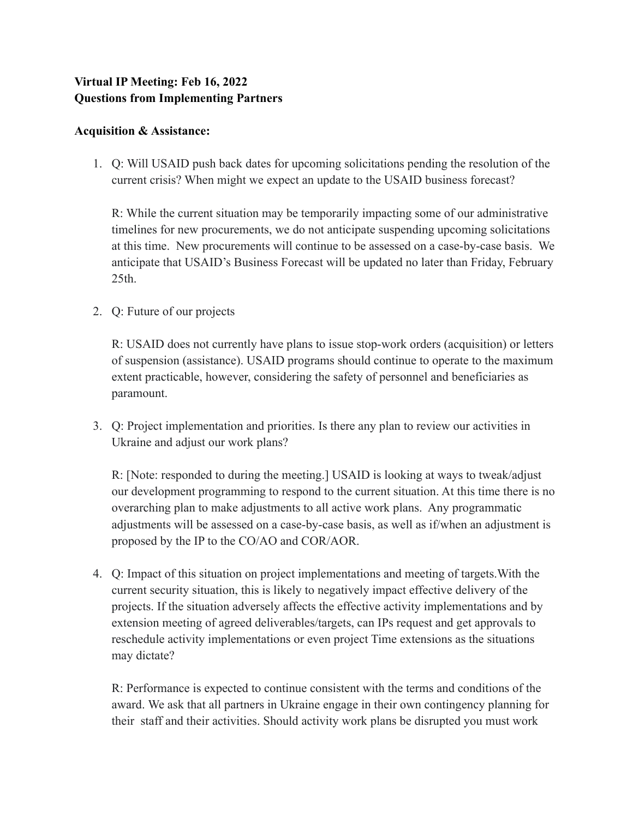## **Virtual IP Meeting: Feb 16, 2022 Questions from Implementing Partners**

## **Acquisition & Assistance:**

1. Q: Will USAID push back dates for upcoming solicitations pending the resolution of the current crisis? When might we expect an update to the USAID business forecast?

R: While the current situation may be temporarily impacting some of our administrative timelines for new procurements, we do not anticipate suspending upcoming solicitations at this time. New procurements will continue to be assessed on a case-by-case basis. We anticipate that USAID's Business Forecast will be updated no later than Friday, February 25th.

2. Q: Future of our projects

R: USAID does not currently have plans to issue stop-work orders (acquisition) or letters of suspension (assistance). USAID programs should continue to operate to the maximum extent practicable, however, considering the safety of personnel and beneficiaries as paramount.

3. Q: Project implementation and priorities. Is there any plan to review our activities in Ukraine and adjust our work plans?

R: [Note: responded to during the meeting.] USAID is looking at ways to tweak/adjust our development programming to respond to the current situation. At this time there is no overarching plan to make adjustments to all active work plans. Any programmatic adjustments will be assessed on a case-by-case basis, as well as if/when an adjustment is proposed by the IP to the CO/AO and COR/AOR.

4. Q: Impact of this situation on project implementations and meeting of targets.With the current security situation, this is likely to negatively impact effective delivery of the projects. If the situation adversely affects the effective activity implementations and by extension meeting of agreed deliverables/targets, can IPs request and get approvals to reschedule activity implementations or even project Time extensions as the situations may dictate?

R: Performance is expected to continue consistent with the terms and conditions of the award. We ask that all partners in Ukraine engage in their own contingency planning for their staff and their activities. Should activity work plans be disrupted you must work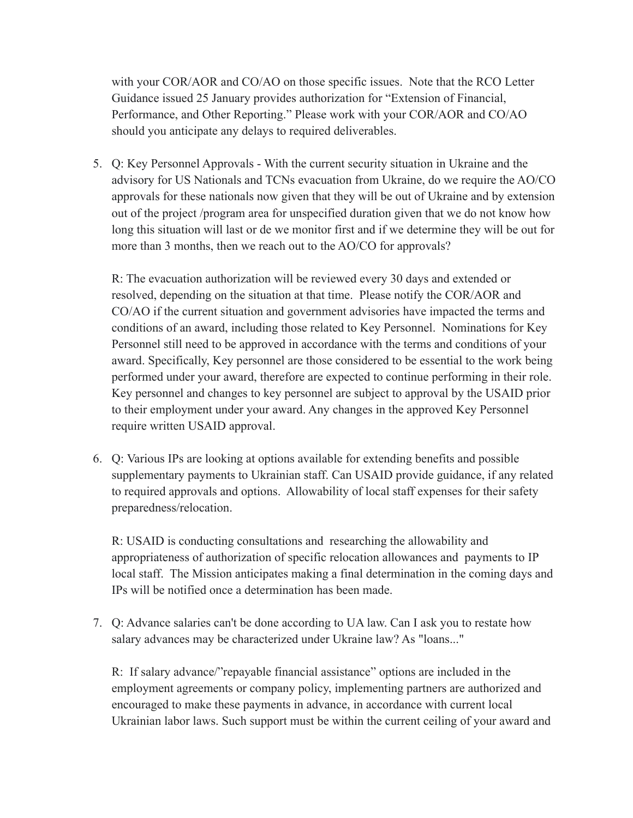with your COR/AOR and CO/AO on those specific issues. Note that the RCO Letter Guidance issued 25 January provides authorization for "Extension of Financial, Performance, and Other Reporting." Please work with your COR/AOR and CO/AO should you anticipate any delays to required deliverables.

5. Q: Key Personnel Approvals - With the current security situation in Ukraine and the advisory for US Nationals and TCNs evacuation from Ukraine, do we require the AO/CO approvals for these nationals now given that they will be out of Ukraine and by extension out of the project /program area for unspecified duration given that we do not know how long this situation will last or de we monitor first and if we determine they will be out for more than 3 months, then we reach out to the AO/CO for approvals?

R: The evacuation authorization will be reviewed every 30 days and extended or resolved, depending on the situation at that time. Please notify the COR/AOR and CO/AO if the current situation and government advisories have impacted the terms and conditions of an award, including those related to Key Personnel. Nominations for Key Personnel still need to be approved in accordance with the terms and conditions of your award. Specifically, Key personnel are those considered to be essential to the work being performed under your award, therefore are expected to continue performing in their role. Key personnel and changes to key personnel are subject to approval by the USAID prior to their employment under your award. Any changes in the approved Key Personnel require written USAID approval.

6. Q: Various IPs are looking at options available for extending benefits and possible supplementary payments to Ukrainian staff. Can USAID provide guidance, if any related to required approvals and options. Allowability of local staff expenses for their safety preparedness/relocation.

R: USAID is conducting consultations and researching the allowability and appropriateness of authorization of specific relocation allowances and payments to IP local staff. The Mission anticipates making a final determination in the coming days and IPs will be notified once a determination has been made.

7. Q: Advance salaries can't be done according to UA law. Can I ask you to restate how salary advances may be characterized under Ukraine law? As "loans..."

R: If salary advance/"repayable financial assistance" options are included in the employment agreements or company policy, implementing partners are authorized and encouraged to make these payments in advance, in accordance with current local Ukrainian labor laws. Such support must be within the current ceiling of your award and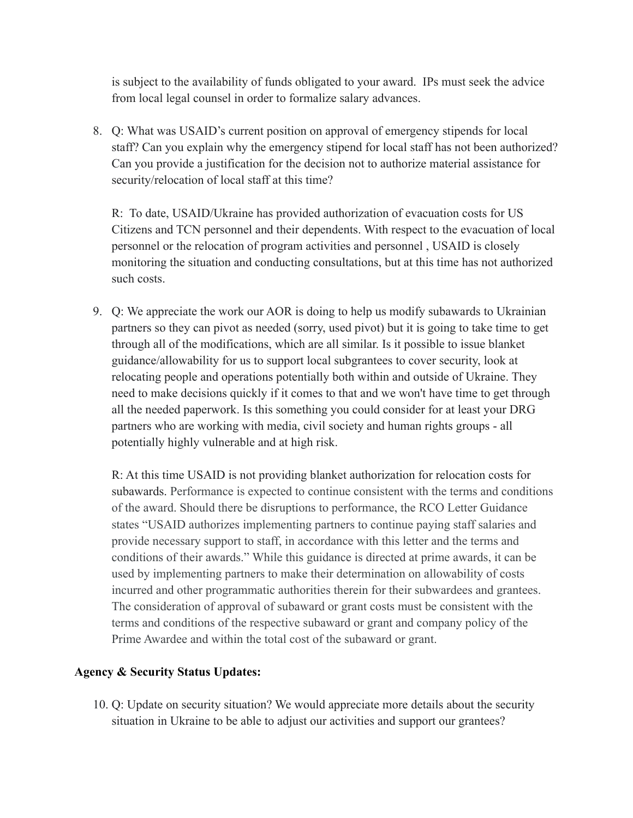is subject to the availability of funds obligated to your award. IPs must seek the advice from local legal counsel in order to formalize salary advances.

8. Q: What was USAID's current position on approval of emergency stipends for local staff? Can you explain why the emergency stipend for local staff has not been authorized? Can you provide a justification for the decision not to authorize material assistance for security/relocation of local staff at this time?

R: To date, USAID/Ukraine has provided authorization of evacuation costs for US Citizens and TCN personnel and their dependents. With respect to the evacuation of local personnel or the relocation of program activities and personnel , USAID is closely monitoring the situation and conducting consultations, but at this time has not authorized such costs.

9. Q: We appreciate the work our AOR is doing to help us modify subawards to Ukrainian partners so they can pivot as needed (sorry, used pivot) but it is going to take time to get through all of the modifications, which are all similar. Is it possible to issue blanket guidance/allowability for us to support local subgrantees to cover security, look at relocating people and operations potentially both within and outside of Ukraine. They need to make decisions quickly if it comes to that and we won't have time to get through all the needed paperwork. Is this something you could consider for at least your DRG partners who are working with media, civil society and human rights groups - all potentially highly vulnerable and at high risk.

R: At this time USAID is not providing blanket authorization for relocation costs for subawards. Performance is expected to continue consistent with the terms and conditions of the award. Should there be disruptions to performance, the RCO Letter Guidance states "USAID authorizes implementing partners to continue paying staff salaries and provide necessary support to staff, in accordance with this letter and the terms and conditions of their awards." While this guidance is directed at prime awards, it can be used by implementing partners to make their determination on allowability of costs incurred and other programmatic authorities therein for their subwardees and grantees. The consideration of approval of subaward or grant costs must be consistent with the terms and conditions of the respective subaward or grant and company policy of the Prime Awardee and within the total cost of the subaward or grant.

## **Agency & Security Status Updates:**

10. Q: Update on security situation? We would appreciate more details about the security situation in Ukraine to be able to adjust our activities and support our grantees?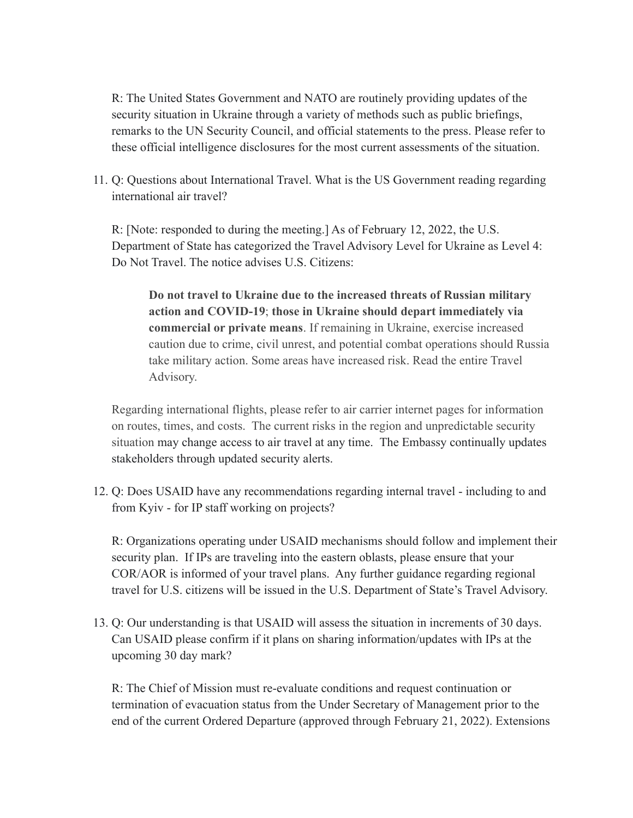R: The United States Government and NATO are routinely providing updates of the security situation in Ukraine through a variety of methods such as public briefings, remarks to the UN Security Council, and official statements to the press. Please refer to these official intelligence disclosures for the most current assessments of the situation.

11. Q: Questions about International Travel. What is the US Government reading regarding international air travel?

R: [Note: responded to during the meeting.] As of February 12, 2022, the U.S. Department of State has categorized the Travel Advisory Level for Ukraine as Level 4: Do Not Travel. The notice advises U.S. Citizens:

**Do not travel to Ukraine due to the increased threats of Russian military action and COVID-19**; **those in Ukraine should depart immediately via commercial or private means**. If remaining in Ukraine, exercise increased caution due to crime, civil unrest, and potential combat operations should Russia take military action. Some areas have increased risk. Read the entire Travel Advisory.

Regarding international flights, please refer to air carrier internet pages for information on routes, times, and costs. The current risks in the region and unpredictable security situation may change access to air travel at any time. The Embassy continually updates stakeholders through updated security alerts.

12. Q: Does USAID have any recommendations regarding internal travel - including to and from Kyiv - for IP staff working on projects?

R: Organizations operating under USAID mechanisms should follow and implement their security plan. If IPs are traveling into the eastern oblasts, please ensure that your COR/AOR is informed of your travel plans. Any further guidance regarding regional travel for U.S. citizens will be issued in the U.S. Department of State's Travel Advisory.

13. Q: Our understanding is that USAID will assess the situation in increments of 30 days. Can USAID please confirm if it plans on sharing information/updates with IPs at the upcoming 30 day mark?

R: The Chief of Mission must re-evaluate conditions and request continuation or termination of evacuation status from the Under Secretary of Management prior to the end of the current Ordered Departure (approved through February 21, 2022). Extensions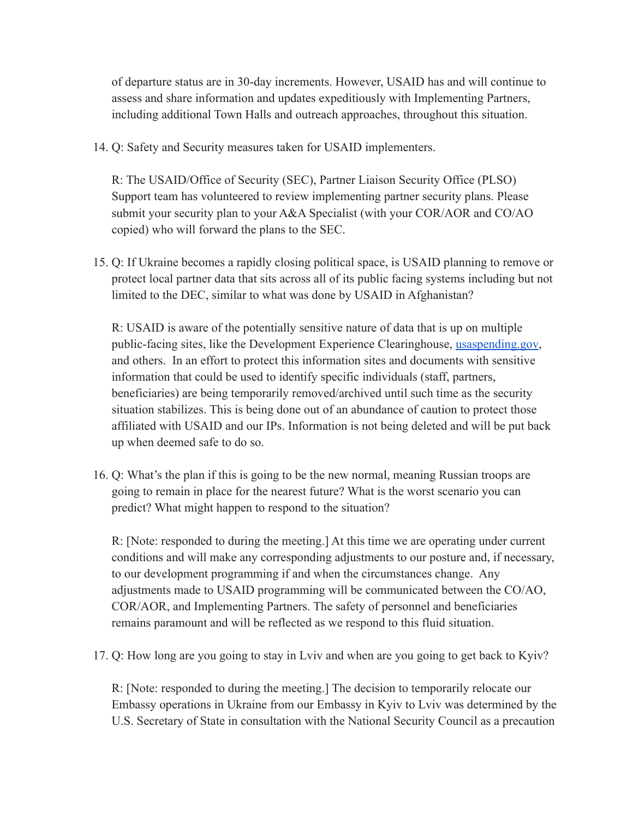of departure status are in 30-day increments. However, USAID has and will continue to assess and share information and updates expeditiously with Implementing Partners, including additional Town Halls and outreach approaches, throughout this situation.

14. Q: Safety and Security measures taken for USAID implementers.

R: The USAID/Office of Security (SEC), Partner Liaison Security Office (PLSO) Support team has volunteered to review implementing partner security plans. Please submit your security plan to your A&A Specialist (with your COR/AOR and CO/AO copied) who will forward the plans to the SEC.

15. Q: If Ukraine becomes a rapidly closing political space, is USAID planning to remove or protect local partner data that sits across all of its public facing systems including but not limited to the DEC, similar to what was done by USAID in Afghanistan?

R: USAID is aware of the potentially sensitive nature of data that is up on multiple public-facing sites, like the Development Experience Clearinghouse, [usaspending.gov](http://usaspending.gov/), and others. In an effort to protect this information sites and documents with sensitive information that could be used to identify specific individuals (staff, partners, beneficiaries) are being temporarily removed/archived until such time as the security situation stabilizes. This is being done out of an abundance of caution to protect those affiliated with USAID and our IPs. Information is not being deleted and will be put back up when deemed safe to do so.

16. Q: What's the plan if this is going to be the new normal, meaning Russian troops are going to remain in place for the nearest future? What is the worst scenario you can predict? What might happen to respond to the situation?

R: [Note: responded to during the meeting.] At this time we are operating under current conditions and will make any corresponding adjustments to our posture and, if necessary, to our development programming if and when the circumstances change. Any adjustments made to USAID programming will be communicated between the CO/AO, COR/AOR, and Implementing Partners. The safety of personnel and beneficiaries remains paramount and will be reflected as we respond to this fluid situation.

17. Q: How long are you going to stay in Lviv and when are you going to get back to Kyiv?

R: [Note: responded to during the meeting.] The decision to temporarily relocate our Embassy operations in Ukraine from our Embassy in Kyiv to Lviv was determined by the U.S. Secretary of State in consultation with the National Security Council as a precaution